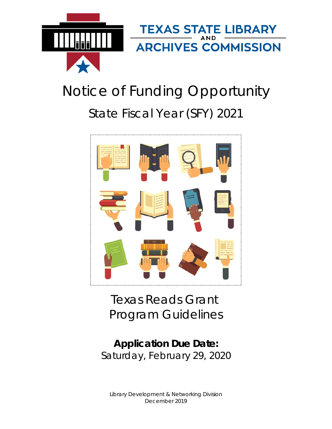

# Notice of Funding Opportunity State Fiscal Year (SFY) 2021



Texas Reads Grant Program Guidelines

**Application Due Date:** Saturday, February 29, 2020

Library Development & Networking Division December 2019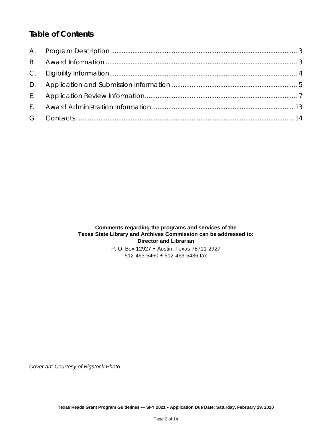# *Table of Contents*

# **Comments regarding the programs and services of the Texas State Library and Archives Commission can be addressed to: Director and Librarian**

P. O. Box 12927 Austin, Texas 78711-2927 512-463-5460 512-463-5436 fax

*Cover art: Courtesy of Bigstock Photo.*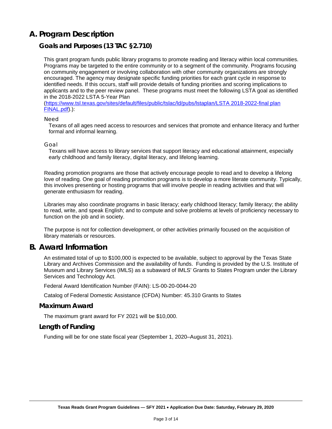# <span id="page-2-0"></span>**A. Program Description**

## **Goals and Purposes (13 TAC §2.710)**

This grant program funds public library programs to promote reading and literacy within local communities. Programs may be targeted to the entire community or to a segment of the community. Programs focusing on community engagement or involving collaboration with other community organizations are strongly encouraged. The agency may designate specific funding priorities for each grant cycle in response to identified needs. If this occurs, staff will provide details of funding priorities and scoring implications to applicants and to the peer review panel. These programs must meet the following LSTA goal as identified in the 2018-2022 LSTA 5-Year Plan

[\(https://www.tsl.texas.gov/sites/default/files/public/tslac/ld/pubs/lstaplan/LSTA 2018-2022-final plan](https://www.tsl.texas.gov/sites/default/files/public/tslac/ld/pubs/lstaplan/LSTA%202018-2022-final%20plan%20FINAL.pdf)  [FINAL.pdf\)](https://www.tsl.texas.gov/sites/default/files/public/tslac/ld/pubs/lstaplan/LSTA%202018-2022-final%20plan%20FINAL.pdf).):

#### *Need*

Texans of all ages need access to resources and services that promote and enhance literacy and further formal and informal learning.

#### *Goal*

Texans will have access to library services that support literacy and educational attainment, especially early childhood and family literacy, digital literacy, and lifelong learning.

Reading promotion programs are those that actively encourage people to read and to develop a lifelong love of reading. One goal of reading promotion programs is to develop a more literate community. Typically, this involves presenting or hosting programs that will involve people in reading activities and that will generate enthusiasm for reading.

Libraries may also coordinate programs in basic literacy; early childhood literacy; family literacy; the ability to read, write, and speak English; and to compute and solve problems at levels of proficiency necessary to function on the job and in society.

The purpose is not for collection development, or other activities primarily focused on the acquisition of library materials or resources.

## <span id="page-2-1"></span>**B. Award Information**

An estimated total of up to \$100,000 is expected to be available, subject to approval by the Texas State Library and Archives Commission and the availability of funds. Funding is provided by the U.S. Institute of Museum and Library Services (IMLS) as a subaward of IMLS' Grants to States Program under the Library Services and Technology Act.

Federal Award Identification Number (FAIN): LS-00-20-0044-20

Catalog of Federal Domestic Assistance (CFDA) Number: 45.310 Grants to States

#### **Maximum Award**

The maximum grant award for FY 2021 will be \$10,000.

#### **Length of Funding**

<span id="page-2-2"></span>Funding will be for one state fiscal year (September 1, 2020–August 31, 2021).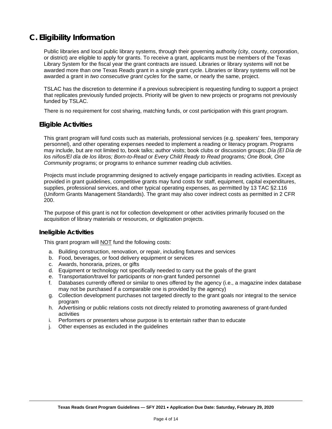# **C. Eligibility Information**

Public libraries and local public library systems, through their governing authority (city, county, corporation, or district) are eligible to apply for grants. To receive a grant, applicants must be members of the Texas Library System for the fiscal year the grant contracts are issued. Libraries or library systems will not be awarded more than one Texas Reads grant in a single grant cycle. Libraries or library systems will not be awarded a grant in *two consecutive grant cycles* for the same, or nearly the same, project.

TSLAC has the discretion to determine if a previous subrecipient is requesting funding to support a project that replicates previously funded projects. Priority will be given to new projects or programs not previously funded by TSLAC.

There is no requirement for cost sharing, matching funds, or cost participation with this grant program.

## **Eligible Activities**

This grant program will fund costs such as materials, professional services (e.g. speakers' fees, temporary personnel), and other operating expenses needed to implement a reading or literacy program. Programs may include, but are not limited to, book talks; author visits; book clubs or discussion groups; *Día (El Día de los niños/El día de los libros; Born-to-Read* or *Every Child Ready to Read* programs*; One Book, One Community* programs; or programs to enhance summer reading club activities.

Projects must include programming designed to actively engage participants in reading activities. Except as provided in grant guidelines, competitive grants may fund costs for staff, equipment, capital expenditures, supplies, professional services, and other typical operating expenses, as permitted by 13 TAC §2.116 (Uniform Grants Management Standards). The grant may also cover indirect costs as permitted in 2 CFR 200.

The purpose of this grant is not for collection development or other activities primarily focused on the acquisition of library materials or resources, or digitization projects.

#### **Ineligible Activities**

This grant program will NOT fund the following costs:

- a. Building construction, renovation, or repair, including fixtures and services
- b. Food, beverages, or food delivery equipment or services
- c. Awards, honoraria, prizes, or gifts
- d. Equipment or technology not specifically needed to carry out the goals of the grant
- e. Transportation/travel for participants or non-grant funded personnel
- f. Databases currently offered or similar to ones offered by the agency (i.e., a magazine index database may not be purchased if a comparable one is provided by the agency)
- g. Collection development purchases not targeted directly to the grant goals nor integral to the service program
- h. Advertising or public relations costs not directly related to promoting awareness of grant-funded activities
- i. Performers or presenters whose purpose is to entertain rather than to educate
- j. Other expenses as excluded in the guidelines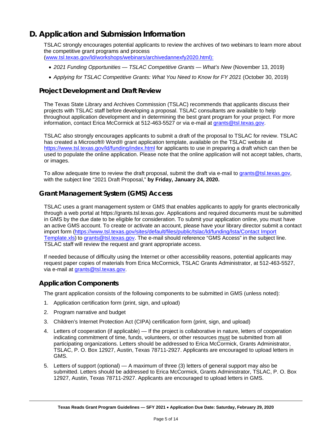# <span id="page-4-0"></span>**D. Application and Submission Information**

TSLAC strongly encourages potential applicants to review the archives of two webinars to learn more about the competitive grant programs and process [\(www.tsl.texas.gov/ld/workshops/webinars/archivedannexfy2020.html\):](www.tsl.texas.gov/ld/workshops/webinars/archivedannexfy2020.html):)

- 
- *2021 Funding Opportunities — TSLAC Competitive Grants — What's New* (November 13, 2019)
- *Applying for TSLAC Competitive Grants: What You Need to Know for FY 2021* (October 30, 2019)

## **Project Development and Draft Review**

The Texas State Library and Archives Commission (TSLAC) recommends that applicants discuss their projects with TSLAC staff before developing a proposal. TSLAC consultants are available to help throughout application development and in determining the best grant program for your project. For more information, contact Erica McCormick at 512-463-5527 or via e-mail at grants@tsl.texas.gov.

TSLAC also strongly encourages applicants to submit a draft of the proposal to TSLAC for review. TSLAC has created a Microsoft® Word® grant application template, available on the TSLAC website at <https://www.tsl.texas.gov/ld/funding/index.html> for applicants to use in preparing a draft which can then be used to populate the online application. Please note that the online application will not accept tables, charts, or images.

To allow adequate time to review the draft proposal, submit the draft via e-mail to [grants@tsl.texas.gov,](mailto:grants@tsl.texas.gov) with the subject line "2021 Draft Proposal," **by Friday, January 24, 2020.**

## **Grant Management System (GMS) Access**

TSLAC uses a grant management system or GMS that enables applicants to apply for grants electronically through a web portal at https://grants.tsl.texas.gov. Applications and required documents must be submitted in GMS by the due date to be eligible for consideration. To submit your application online, you must have an active GMS account. To create or activate an account, please have your library director submit a contact import form [\(https://www.tsl.texas.gov/sites/default/files/public/tslac/ld/funding/lsta/Contact Import](https://www.tsl.texas.gov/sites/default/files/public/tslac/ld/funding/lsta/Contact%20Import%20Template.xls)  [Template.xls\)](https://www.tsl.texas.gov/sites/default/files/public/tslac/ld/funding/lsta/Contact%20Import%20Template.xls) to grants@tsl.texas.gov. The e-mail should reference "GMS Access" in the subject line. TSLAC staff will review the request and grant appropriate access.

If needed because of difficulty using the Internet or other accessibility reasons, potential applicants may request paper copies of materials from Erica McCormick, TSLAC Grants Administrator, at 512-463-5527, via e-mail at grants@tsl.texas.gov.

## **Application Components**

The grant application consists of the following components to be submitted in GMS (unless noted):

- 1. Application certification form (print, sign, and upload)
- 2. Program narrative and budget
- 3. Children's Internet Protection Act (CIPA) certification form (print, sign, and upload)
- 4. Letters of cooperation (if applicable) If the project is collaborative in nature, letters of cooperation indicating commitment of time, funds, volunteers, or other resources must be submitted from all participating organizations. Letters should be addressed to Erica McCormick, Grants Administrator, TSLAC, P. O. Box 12927, Austin, Texas 78711-2927. Applicants are encouraged to upload letters in GMS.
- 5. Letters of support (optional) A maximum of three (3) letters of general support may also be submitted. Letters should be addressed to Erica McCormick, Grants Administrator, TSLAC, P. O. Box 12927, Austin, Texas 78711-2927. Applicants are encouraged to upload letters in GMS.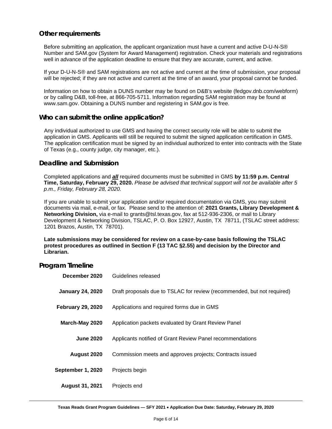## **Other requirements**

Before submitting an application, the applicant organization must have a current and active D-U-N-S® Number and SAM.gov (System for Award Management) registration. Check your materials and registrations well in advance of the application deadline to ensure that they are accurate, current, and active.

If your D-U-N-S® and SAM registrations are not active and current at the time of submission, your proposal will be rejected; if they are not active and current at the time of an award, your proposal cannot be funded.

Information on how to obtain a DUNS number may be found on D&B's website (fedgov.dnb.com/webform) or by calling D&B, toll-free, at 866-705-5711. Information regarding SAM registration may be found at www.sam.gov. Obtaining a DUNS number and registering in SAM.gov is free.

#### **Who can submit the online application?**

Any individual authorized to use GMS and having the correct security role will be able to submit the application in GMS. Applicants will still be required to submit the signed application certification in GMS. The application certification must be signed by an individual authorized to enter into contracts with the State of Texas (e.g., county judge, city manager, etc.).

#### **Deadline and Submission**

Completed applications and *all* required documents must be submitted in GMS **by 11:59 p.m. Central Time, Saturday, February 29, 2020.** *Please be advised that technical support will not be available after 5 p.m., Friday, February 28, 2020.*

If you are unable to submit your application and/or required documentation via GMS, you may submit documents via mail, e-mail, or fax. Please send to the attention of: **2021 Grants, Library Development & Networking Division,** via e-mail to grants@tsl.texas.gov, fax at 512-936-2306, or mail to Library Development & Networking Division, TSLAC, P. O. Box 12927, Austin, TX 78711, (TSLAC street address: 1201 Brazos, Austin, TX 78701).

**Late submissions may be considered for review on a case-by-case basis following the TSLAC protest procedures as outlined in Section F (13 TAC §2.55) and decision by the Director and Librarian.**

## **Program Timeline**

| December 2020            | Guidelines released                                                     |
|--------------------------|-------------------------------------------------------------------------|
| <b>January 24, 2020</b>  | Draft proposals due to TSLAC for review (recommended, but not required) |
| <b>February 29, 2020</b> | Applications and required forms due in GMS                              |
| March-May 2020           | Application packets evaluated by Grant Review Panel                     |
| <b>June 2020</b>         | Applicants notified of Grant Review Panel recommendations               |
| August 2020              | Commission meets and approves projects; Contracts issued                |
| September 1, 2020        | Projects begin                                                          |
| <b>August 31, 2021</b>   | Projects end                                                            |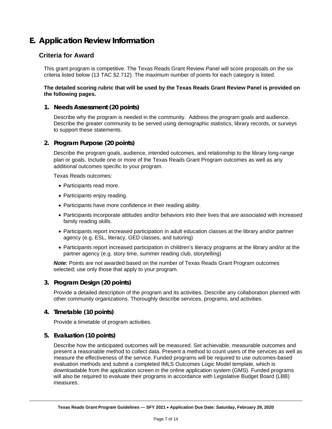# <span id="page-6-0"></span>**E. Application Review Information**

## **Criteria for Award**

This grant program is competitive. The Texas Reads Grant Review Panel will score proposals on the six criteria listed below (13 TAC §2.712). The maximum number of points for each category is listed.

#### **The detailed scoring rubric that will be used by the Texas Reads Grant Review Panel is provided on the following pages.**

#### **1. Needs Assessment (20 points)**

Describe why the program is needed in the community. Address the program goals and audience. Describe the greater community to be served using demographic statistics, library records, or surveys to support these statements.

#### **2. Program Purpose (20 points)**

Describe the program goals, audience, intended outcomes, and relationship to the library long-range plan or goals. Include one or more of the Texas Reads Grant Program outcomes as well as any additional outcomes specific to your program.

Texas Reads outcomes:

- Participants read more.
- Participants enjoy reading.
- Participants have more confidence in their reading ability.
- Participants incorporate attitudes and/or behaviors into their lives that are associated with increased family reading skills.
- Participants report increased participation in adult education classes at the library and/or partner agency (e.g. ESL, literacy, GED classes, and tutoring)
- Participants report increased participation in children's literacy programs at the library and/or at the partner agency (e.g. story time, summer reading club, storytelling)

*Note:* Points are not awarded based on the number of Texas Reads Grant Program outcomes selected; use only those that apply to your program.

#### **3. Program Design (20 points)**

Provide a detailed description of the program and its activities. Describe any collaboration planned with other community organizations. Thoroughly describe services, programs, and activities.

#### **4. Timetable (10 points)**

Provide a timetable of program activities.

#### **5. Evaluation (10 points)**

Describe how the anticipated outcomes will be measured. Set achievable, measurable outcomes and present a reasonable method to collect data. Present a method to count users of the services as well as measure the effectiveness of the service. Funded programs will be required to use outcomes-based evaluation methods and submit a completed IMLS Outcomes Logic Model template, which is downloadable from the application screen in the online application system (GMS). Funded programs will also be required to evaluate their programs in accordance with Legislative Budget Board (LBB) measures.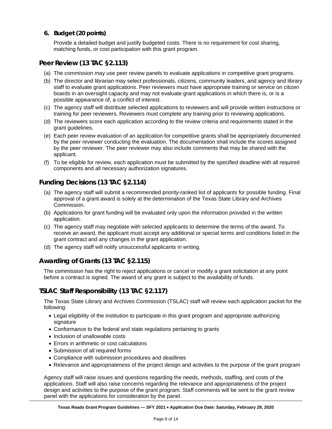**6. Budget (20 points)**

Provide a detailed budget and justify budgeted costs. There is no requirement for cost sharing, matching funds, or cost participation with this grant program.

## **Peer Review (13 TAC §2.113)**

- (a) The commission may use peer review panels to evaluate applications in competitive grant programs.
- (b) The director and librarian may select professionals, citizens, community leaders, and agency and library staff to evaluate grant applications. Peer reviewers must have appropriate training or service on citizen boards in an oversight capacity and may not evaluate grant applications in which there is, or is a possible appearance of, a conflict of interest.
- (c) The agency staff will distribute selected applications to reviewers and will provide written instructions or training for peer reviewers. Reviewers must complete any training prior to reviewing applications.
- (d) The reviewers score each application according to the review criteria and requirements stated in the grant guidelines.
- (e) Each peer review evaluation of an application for competitive grants shall be appropriately documented by the peer reviewer conducting the evaluation. The documentation shall include the scores assigned by the peer reviewer. The peer reviewer may also include comments that may be shared with the applicant.
- (f) To be eligible for review, each application must be submitted by the specified deadline with all required components and all necessary authorization signatures.

## **Funding Decisions (13 TAC §2.114)**

- (a) The agency staff will submit a recommended priority-ranked list of applicants for possible funding. Final approval of a grant award is solely at the determination of the Texas State Library and Archives Commission.
- (b) Applications for grant funding will be evaluated only upon the information provided in the written application.
- (c) The agency staff may negotiate with selected applicants to determine the terms of the award. To receive an award, the applicant must accept any additional or special terms and conditions listed in the grant contract and any changes in the grant application.
- (d) The agency staff will notify unsuccessful applicants in writing.

## **Awarding of Grants (13 TAC §2.115)**

The commission has the right to reject applications or cancel or modify a grant solicitation at any point before a contract is signed. The award of any grant is subject to the availability of funds.

## **TSLAC Staff Responsibility (13 TAC §2.117)**

The Texas State Library and Archives Commission (TSLAC) staff will review each application packet for the following:

- Legal eligibility of the institution to participate in this grant program and appropriate authorizing signature
- Conformance to the federal and state regulations pertaining to grants
- Inclusion of unallowable costs
- Errors in arithmetic or cost calculations
- Submission of all required forms
- Compliance with submission procedures and deadlines
- Relevance and appropriateness of the project design and activities to the purpose of the grant program

Agency staff will raise issues and questions regarding the needs, methods, staffing, and costs of the applications. Staff will also raise concerns regarding the relevance and appropriateness of the project design and activities to the purpose of the grant program. Staff comments will be sent to the grant review panel with the applications for consideration by the panel.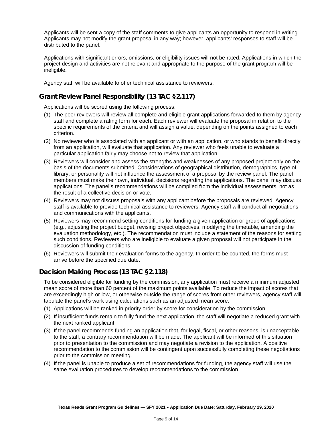Applicants will be sent a copy of the staff comments to give applicants an opportunity to respond in writing. Applicants may not modify the grant proposal in any way; however, applicants' responses to staff will be distributed to the panel.

Applications with significant errors, omissions, or eligibility issues will not be rated. Applications in which the project design and activities are not relevant and appropriate to the purpose of the grant program will be ineligible.

Agency staff will be available to offer technical assistance to reviewers.

## **Grant Review Panel Responsibility (13 TAC §2.117)**

Applications will be scored using the following process:

- (1) The peer reviewers will review all complete and eligible grant applications forwarded to them by agency staff and complete a rating form for each. Each reviewer will evaluate the proposal in relation to the specific requirements of the criteria and will assign a value, depending on the points assigned to each criterion.
- (2) No reviewer who is associated with an applicant or with an application, or who stands to benefit directly from an application, will evaluate that application. Any reviewer who feels unable to evaluate a particular application fairly may choose not to review that application.
- (3) Reviewers will consider and assess the strengths and weaknesses of any proposed project only on the basis of the documents submitted. Considerations of geographical distribution, demographics, type of library, or personality will not influence the assessment of a proposal by the review panel. The panel members must make their own, individual, decisions regarding the applications. The panel may discuss applications. The panel's recommendations will be compiled from the individual assessments, not as the result of a collective decision or vote.
- (4) Reviewers may not discuss proposals with any applicant before the proposals are reviewed. Agency staff is available to provide technical assistance to reviewers. Agency staff will conduct all negotiations and communications with the applicants.
- (5) Reviewers may recommend setting conditions for funding a given application or group of applications (e.g., adjusting the project budget, revising project objectives, modifying the timetable, amending the evaluation methodology, etc.). The recommendation must include a statement of the reasons for setting such conditions. Reviewers who are ineligible to evaluate a given proposal will not participate in the discussion of funding conditions.
- (6) Reviewers will submit their evaluation forms to the agency. In order to be counted, the forms must arrive before the specified due date.

## **Decision Making Process (13 TAC §2.118)**

To be considered eligible for funding by the commission, any application must receive a minimum adjusted mean score of more than 60 percent of the maximum points available. To reduce the impact of scores that are exceedingly high or low, or otherwise outside the range of scores from other reviewers, agency staff will tabulate the panel's work using calculations such as an adjusted mean score.

- (1) Applications will be ranked in priority order by score for consideration by the commission.
- (2) If insufficient funds remain to fully fund the next application, the staff will negotiate a reduced grant with the next ranked applicant.
- (3) If the panel recommends funding an application that, for legal, fiscal, or other reasons, is unacceptable to the staff, a contrary recommendation will be made. The applicant will be informed of this situation prior to presentation to the commission and may negotiate a revision to the application. A positive recommendation to the commission will be contingent upon successfully completing these negotiations prior to the commission meeting.
- (4) If the panel is unable to produce a set of recommendations for funding, the agency staff will use the same evaluation procedures to develop recommendations to the commission.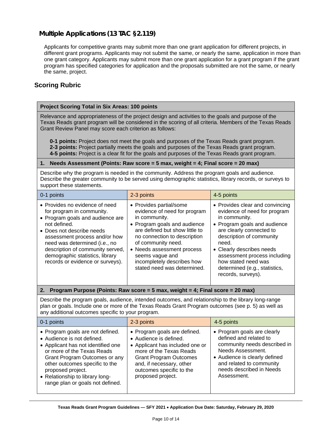## **Multiple Applications (13 TAC §2.119)**

Applicants for competitive grants may submit more than one grant application for different projects, in different grant programs. Applicants may not submit the same, or nearly the same, application in more than one grant category. Applicants may submit more than one grant application for a grant program if the grant program has specified categories for application and the proposals submitted are not the same, or nearly the same, project.

## **Scoring Rubric**

#### **Project Scoring Total in Six Areas: 100 points**

Relevance and appropriateness of the project design and activities to the goals and purpose of the Texas Reads grant program will be considered in the scoring of all criteria. Members of the Texas Reads Grant Review Panel may score each criterion as follows:

**0-1 points:** Project does not meet the goals and purposes of the Texas Reads grant program. **2-3 points:** Project partially meets the goals and purposes of the Texas Reads grant program. **4-5 points:** Project is a clear fit for the goals and purposes of the Texas Reads grant program.

#### **1. Needs Assessment (Points: Raw score = 5 max, weight = 4; Final score = 20 max)**

Describe why the program is needed in the community. Address the program goals and audience. Describe the greater community to be served using demographic statistics, library records, or surveys to support these statements.

| 0-1 points                                                                                                                                                                                                                                                                                                                | 2-3 points                                                                                                                                                                                                                                                                                                     | 4-5 points                                                                                                                                                                                                                                                                                                                   |
|---------------------------------------------------------------------------------------------------------------------------------------------------------------------------------------------------------------------------------------------------------------------------------------------------------------------------|----------------------------------------------------------------------------------------------------------------------------------------------------------------------------------------------------------------------------------------------------------------------------------------------------------------|------------------------------------------------------------------------------------------------------------------------------------------------------------------------------------------------------------------------------------------------------------------------------------------------------------------------------|
| • Provides no evidence of need<br>for program in community.<br>• Program goals and audience are<br>not defined.<br>• Does not describe needs<br>assessment process and/or how<br>need was determined (i.e., no<br>description of community served,<br>demographic statistics, library<br>records or evidence or surveys). | • Provides partial/some<br>evidence of need for program<br>in community.<br>• Program goals and audience<br>are defined but show little to<br>no connection to description<br>of community need.<br>• Needs assessment process<br>seems vague and<br>incompletely describes how<br>stated need was determined. | • Provides clear and convincing<br>evidence of need for program<br>in community.<br>• Program goals and audience<br>are clearly connected to<br>description of community<br>need.<br>• Clearly describes needs<br>assessment process including<br>how stated need was<br>determined (e.g., statistics,<br>records, surveys). |

#### **2. Program Purpose (Points: Raw score = 5 max, weight = 4; Final score = 20 max)**

Describe the program goals, audience, intended outcomes, and relationship to the library long-range plan or goals. Include one or more of the Texas Reads Grant Program outcomes (see p. 5) as well as any additional outcomes specific to your program.

| 0-1 points                                                                                                                                                                                                                                                                                        | 2-3 points                                                                                                                                                                                                                         | 4-5 points                                                                                                                                                                                                         |
|---------------------------------------------------------------------------------------------------------------------------------------------------------------------------------------------------------------------------------------------------------------------------------------------------|------------------------------------------------------------------------------------------------------------------------------------------------------------------------------------------------------------------------------------|--------------------------------------------------------------------------------------------------------------------------------------------------------------------------------------------------------------------|
| • Program goals are not defined.<br>• Audience is not defined.<br>• Applicant has not identified one<br>or more of the Texas Reads<br>Grant Program Outcomes or any<br>other outcomes specific to the<br>proposed project.<br>• Relationship to library long-<br>range plan or goals not defined. | • Program goals are defined.<br>• Audience is defined.<br>• Applicant has included one or<br>more of the Texas Reads<br><b>Grant Program Outcomes</b><br>and, if necessary, other<br>outcomes specific to the<br>proposed project. | • Program goals are clearly<br>defined and related to<br>community needs described in<br>Needs Assessment.<br>• Audience is clearly defined<br>and related to community<br>needs described in Needs<br>Assessment. |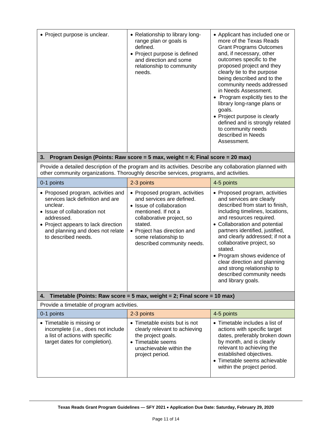| • Project purpose is unclear.                                                                                                                                                                                                      | • Relationship to library long-<br>range plan or goals is<br>defined.<br>• Project purpose is defined<br>and direction and some<br>relationship to community<br>needs.                                                                      | • Applicant has included one or<br>more of the Texas Reads<br><b>Grant Programs Outcomes</b><br>and, if necessary, other<br>outcomes specific to the<br>proposed project and they<br>clearly tie to the purpose<br>being described and to the<br>community needs addressed<br>in Needs Assessment.<br>• Program explicitly ties to the<br>library long-range plans or<br>goals.<br>• Project purpose is clearly<br>defined and is strongly related<br>to community needs<br>described in Needs<br>Assessment. |  |  |
|------------------------------------------------------------------------------------------------------------------------------------------------------------------------------------------------------------------------------------|---------------------------------------------------------------------------------------------------------------------------------------------------------------------------------------------------------------------------------------------|---------------------------------------------------------------------------------------------------------------------------------------------------------------------------------------------------------------------------------------------------------------------------------------------------------------------------------------------------------------------------------------------------------------------------------------------------------------------------------------------------------------|--|--|
| 3.                                                                                                                                                                                                                                 | Program Design (Points: Raw score = 5 max, weight = 4; Final score = 20 max)                                                                                                                                                                |                                                                                                                                                                                                                                                                                                                                                                                                                                                                                                               |  |  |
| Provide a detailed description of the program and its activities. Describe any collaboration planned with<br>other community organizations. Thoroughly describe services, programs, and activities.                                |                                                                                                                                                                                                                                             |                                                                                                                                                                                                                                                                                                                                                                                                                                                                                                               |  |  |
| 0-1 points                                                                                                                                                                                                                         | 2-3 points                                                                                                                                                                                                                                  | 4-5 points                                                                                                                                                                                                                                                                                                                                                                                                                                                                                                    |  |  |
| • Proposed program, activities and<br>services lack definition and are<br>unclear.<br>• Issue of collaboration not<br>addressed.<br>• Project appears to lack direction<br>and planning and does not relate<br>to described needs. | • Proposed program, activities<br>and services are defined.<br>• Issue of collaboration<br>mentioned. If not a<br>collaborative project, so<br>stated.<br>• Project has direction and<br>some relationship to<br>described community needs. | • Proposed program, activities<br>and services are clearly<br>described from start to finish,<br>including timelines, locations,<br>and resources required.<br>• Collaboration and potential<br>partners identified, justified,<br>and clearly addressed; if not a<br>collaborative project, so<br>stated.<br>• Program shows evidence of<br>clear direction and planning<br>and strong relationship to<br>described community needs<br>and library goals.                                                    |  |  |
| 4.                                                                                                                                                                                                                                 | Timetable (Points: Raw score = $5$ max, weight = $2$ ; Final score = $10$ max)                                                                                                                                                              |                                                                                                                                                                                                                                                                                                                                                                                                                                                                                                               |  |  |
| Provide a timetable of program activities.                                                                                                                                                                                         |                                                                                                                                                                                                                                             |                                                                                                                                                                                                                                                                                                                                                                                                                                                                                                               |  |  |
| 0-1 points                                                                                                                                                                                                                         | 2-3 points                                                                                                                                                                                                                                  | 4-5 points                                                                                                                                                                                                                                                                                                                                                                                                                                                                                                    |  |  |
| • Timetable is missing or<br>incomplete (i.e., does not include<br>a list of actions with specific<br>target dates for completion).                                                                                                | • Timetable exists but is not<br>clearly relevant to achieving<br>the project goals.<br>• Timetable seems<br>unachievable within the<br>project period.                                                                                     | • Timetable includes a list of<br>actions with specific target<br>dates, preferably broken down<br>by month, and is clearly<br>relevant to achieving the<br>established objectives.<br>• Timetable seems achievable<br>within the project period.                                                                                                                                                                                                                                                             |  |  |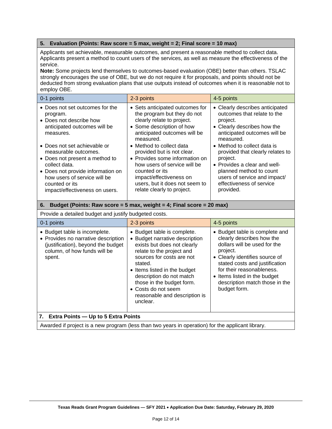#### **5. Evaluation (Points: Raw score = 5 max, weight = 2; Final score = 10 max)**

Applicants set achievable, measurable outcomes, and present a reasonable method to collect data. Applicants present a method to count users of the services, as well as measure the effectiveness of the service.

**Note:** Some projects lend themselves to outcomes-based evaluation (OBE) better than others. TSLAC strongly encourages the use of OBE, but we do not require it for proposals, and points should not be deducted from strong evaluation plans that use outputs instead of outcomes when it is reasonable not to employ OBE.

| 0-1 points                                                                                                                                                                                                                       | 2-3 points                                                                                                                                                                                                                            | 4-5 points                                                                                                                                                                                                      |
|----------------------------------------------------------------------------------------------------------------------------------------------------------------------------------------------------------------------------------|---------------------------------------------------------------------------------------------------------------------------------------------------------------------------------------------------------------------------------------|-----------------------------------------------------------------------------------------------------------------------------------------------------------------------------------------------------------------|
| • Does not set outcomes for the<br>program.<br>• Does not describe how<br>anticipated outcomes will be<br>measures.                                                                                                              | • Sets anticipated outcomes for<br>the program but they do not<br>clearly relate to project.<br>• Some description of how<br>anticipated outcomes will be<br>measured.                                                                | • Clearly describes anticipated<br>outcomes that relate to the<br>project.<br>• Clearly describes how the<br>anticipated outcomes will be<br>measured.                                                          |
| • Does not set achievable or<br>measurable outcomes.<br>• Does not present a method to<br>collect data.<br>• Does not provide information on<br>how users of service will be<br>counted or its<br>impact/effectiveness on users. | • Method to collect data<br>provided but is not clear.<br>• Provides some information on<br>how users of service will be<br>counted or its<br>impact/effectiveness on<br>users, but it does not seem to<br>relate clearly to project. | • Method to collect data is<br>provided that clearly relates to<br>project.<br>• Provides a clear and well-<br>planned method to count<br>users of service and impact/<br>effectiveness of service<br>provided. |

#### **6. Budget (Points: Raw score = 5 max, weight = 4; Final score = 20 max)**

#### Provide a detailed budget and justify budgeted costs.

| 0-1 points                                                                                                                                           | 2-3 points                                                                                                                                                                                                                                                                                                                     | 4-5 points                                                                                                                                                                                                                                                                                 |  |
|------------------------------------------------------------------------------------------------------------------------------------------------------|--------------------------------------------------------------------------------------------------------------------------------------------------------------------------------------------------------------------------------------------------------------------------------------------------------------------------------|--------------------------------------------------------------------------------------------------------------------------------------------------------------------------------------------------------------------------------------------------------------------------------------------|--|
| • Budget table is incomplete.<br>• Provides no narrative description<br>(justification), beyond the budget<br>column, of how funds will be<br>spent. | • Budget table is complete.<br>• Budget narrative description<br>exists but does not clearly<br>relate to the project and<br>sources for costs are not<br>stated.<br>• Items listed in the budget<br>description do not match<br>those in the budget form.<br>• Costs do not seem<br>reasonable and description is<br>unclear. | • Budget table is complete and<br>clearly describes how the<br>dollars will be used for the<br>project.<br>• Clearly identifies source of<br>stated costs and justification<br>for their reasonableness.<br>• Items listed in the budget<br>description match those in the<br>budget form. |  |
| 7. Extra Points - Up to 5 Extra Points                                                                                                               |                                                                                                                                                                                                                                                                                                                                |                                                                                                                                                                                                                                                                                            |  |
| Awarded if project is a new program (less than two years in operation) for the applicant library.                                                    |                                                                                                                                                                                                                                                                                                                                |                                                                                                                                                                                                                                                                                            |  |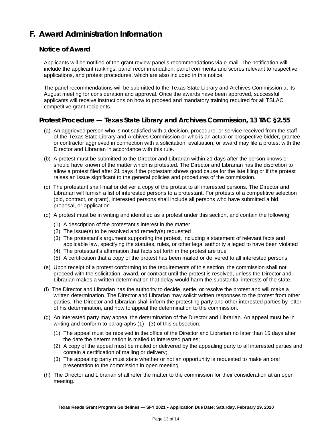# <span id="page-12-0"></span>**F. Award Administration Information**

## **Notice of Award**

Applicants will be notified of the grant review panel's recommendations via e-mail. The notification will include the applicant rankings, panel recommendation, panel comments and scores relevant to respective applications, and protest procedures, which are also included in this notice.

The panel recommendations will be submitted to the Texas State Library and Archives Commission at its August meeting for consideration and approval. Once the awards have been approved, successful applicants will receive instructions on how to proceed and mandatory training required for all TSLAC competitive grant recipients.

## **Protest Procedure — Texas State Library and Archives Commission, 13 TAC §2.55**

- (a) An aggrieved person who is not satisfied with a decision, procedure, or service received from the staff of the Texas State Library and Archives Commission or who is an actual or prospective bidder, grantee, or contractor aggrieved in connection with a solicitation, evaluation, or award may file a protest with the Director and Librarian in accordance with this rule.
- (b) A protest must be submitted to the Director and Librarian within 21 days after the person knows or should have known of the matter which is protested. The Director and Librarian has the discretion to allow a protest filed after 21 days if the protestant shows good cause for the late filing or if the protest raises an issue significant to the general policies and procedures of the commission.
- (c) The protestant shall mail or deliver a copy of the protest to all interested persons. The Director and Librarian will furnish a list of interested persons to a protestant. For protests of a competitive selection (bid, contract, or grant), interested persons shall include all persons who have submitted a bid, proposal, or application.
- (d) A protest must be in writing and identified as a protest under this section, and contain the following:
	- (1) A description of the protestant's interest in the matter
	- (2) The issue(s) to be resolved and remedy(s) requested
	- (3) The protestant's argument supporting the protest, including a statement of relevant facts and applicable law, specifying the statutes, rules, or other legal authority alleged to have been violated
	- (4) The protestant's affirmation that facts set forth in the protest are true
	- (5) A certification that a copy of the protest has been mailed or delivered to all interested persons
- (e) Upon receipt of a protest conforming to the requirements of this section, the commission shall not proceed with the solicitation, award, or contract until the protest is resolved, unless the Director and Librarian makes a written determination that delay would harm the substantial interests of the state.
- (f) The Director and Librarian has the authority to decide, settle, or resolve the protest and will make a written determination. The Director and Librarian may solicit written responses to the protest from other parties. The Director and Librarian shall inform the protesting party and other interested parties by letter of his determination, and how to appeal the determination to the commission.
- (g) An interested party may appeal the determination of the Director and Librarian. An appeal must be in writing and conform to paragraphs (1) - (3) of this subsection:
	- (1) The appeal must be received in the office of the Director and Librarian no later than 15 days after the date the determination is mailed to interested parties;
	- (2) A copy of the appeal must be mailed or delivered by the appealing party to all interested parties and contain a certification of mailing or delivery;
	- (3) The appealing party must state whether or not an opportunity is requested to make an oral presentation to the commission in open meeting.
- (h) The Director and Librarian shall refer the matter to the commission for their consideration at an open meeting.